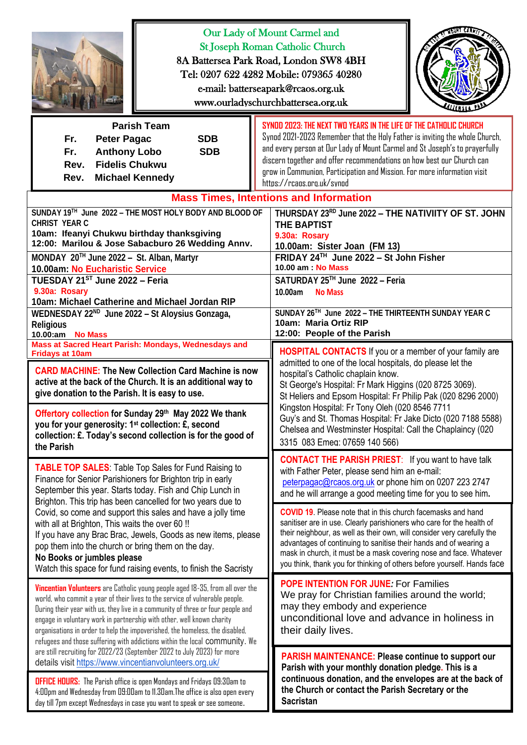| asun crea<br>Our Lady of Mount Carmel and<br><b>St Joseph Roman Catholic Church</b><br>8A Battersea Park Road, London SW8 4BH<br>Tel: 0207 622 4282 Mobile: 079365 40280<br>e-mail: batterseapark@rcaos.org.uk<br>www.ourladyschurchbattersea.org.uk                                                                                                                                                                                                                                      |                                                                                                                                                                                                                                                                                                                                                                                                                    |
|-------------------------------------------------------------------------------------------------------------------------------------------------------------------------------------------------------------------------------------------------------------------------------------------------------------------------------------------------------------------------------------------------------------------------------------------------------------------------------------------|--------------------------------------------------------------------------------------------------------------------------------------------------------------------------------------------------------------------------------------------------------------------------------------------------------------------------------------------------------------------------------------------------------------------|
| <b>Parish Team</b><br><b>Peter Pagac</b><br><b>SDB</b><br>Fr.<br><b>Anthony Lobo</b><br><b>SDB</b><br>Fr.<br><b>Fidelis Chukwu</b><br>Rev.<br><b>Michael Kennedy</b><br>Rev.                                                                                                                                                                                                                                                                                                              | SYNDD 2023: THE NEXT TWD YEARS IN THE LIFE OF THE CATHOLIC CHURCH<br>Synod 2021-2023 Remember that the Holy Father is inviting the whole Church,<br>and every person at Our Lady of Mount Carmel and St Joseph's to prayerfully<br>discern together and offer recommendations on how best our Church can<br>grow in Communion, Participation and Mission. For more information visit<br>https://rcaps.org.uk/synod |
| SUNDAY 19TH June 2022 - THE MOST HOLY BODY AND BLOOD OF<br><b>CHRIST YEAR C</b><br>10am: Ifeanyi Chukwu birthday thanksgiving<br>12:00: Marilou & Jose Sabacburo 26 Wedding Annv.<br>MONDAY 20TH June 2022 - St. Alban, Martyr<br>10.00am: No Eucharistic Service<br>TUESDAY 21ST June 2022 - Feria<br>9.30a: Rosary<br>10am: Michael Catherine and Michael Jordan RIP                                                                                                                    | <b>Mass Times, Intentions and Information</b><br>THURSDAY 23RD June 2022 - THE NATIVIITY OF ST. JOHN<br><b>THE BAPTIST</b><br>9.30a: Rosary<br>10.00am: Sister Joan (FM 13)<br>FRIDAY 24TH June 2022 - St John Fisher<br>10.00 am: No Mass<br>SATURDAY 25™ June 2022 - Feria<br>10.00am<br><b>No Mass</b>                                                                                                          |
| WEDNESDAY 22 <sup>ND</sup> June 2022 - St Aloysius Gonzaga,                                                                                                                                                                                                                                                                                                                                                                                                                               | SUNDAY 26TH June 2022 - THE THIRTEENTH SUNDAY YEAR C                                                                                                                                                                                                                                                                                                                                                               |
| <b>Religious</b>                                                                                                                                                                                                                                                                                                                                                                                                                                                                          | 10am: Maria Ortiz RIP                                                                                                                                                                                                                                                                                                                                                                                              |
| 10.00:am No Mass                                                                                                                                                                                                                                                                                                                                                                                                                                                                          | 12:00: People of the Parish                                                                                                                                                                                                                                                                                                                                                                                        |
| Mass at Sacred Heart Parish: Mondays, Wednesdays and                                                                                                                                                                                                                                                                                                                                                                                                                                      | <b>HOSPITAL CONTACTS</b> If you or a member of your family are                                                                                                                                                                                                                                                                                                                                                     |
| <b>Fridays at 10am</b>                                                                                                                                                                                                                                                                                                                                                                                                                                                                    | admitted to one of the local hospitals, do please let the                                                                                                                                                                                                                                                                                                                                                          |
| <b>CARD MACHINE: The New Collection Card Machine is now</b>                                                                                                                                                                                                                                                                                                                                                                                                                               | hospital's Catholic chaplain know.                                                                                                                                                                                                                                                                                                                                                                                 |
| active at the back of the Church. It is an additional way to                                                                                                                                                                                                                                                                                                                                                                                                                              | St George's Hospital: Fr Mark Higgins (020 8725 3069).                                                                                                                                                                                                                                                                                                                                                             |
| give donation to the Parish. It is easy to use.                                                                                                                                                                                                                                                                                                                                                                                                                                           | St Heliers and Epsom Hospital: Fr Philip Pak (020 8296 2000)                                                                                                                                                                                                                                                                                                                                                       |
| Offertory collection for Sunday 29th May 2022 We thank                                                                                                                                                                                                                                                                                                                                                                                                                                    | Kingston Hospital: Fr Tony Oleh (020 8546 7711                                                                                                                                                                                                                                                                                                                                                                     |
| you for your generosity: 1 <sup>st</sup> collection: £, second                                                                                                                                                                                                                                                                                                                                                                                                                            | Guy's and St. Thomas Hospital: Fr Jake Dicto (020 7188 5588)                                                                                                                                                                                                                                                                                                                                                       |
| collection: £. Today's second collection is for the good of                                                                                                                                                                                                                                                                                                                                                                                                                               | Chelsea and Westminster Hospital: Call the Chaplaincy (020                                                                                                                                                                                                                                                                                                                                                         |
| the Parish                                                                                                                                                                                                                                                                                                                                                                                                                                                                                | 3315 083 Emeg: 07659 140 566)                                                                                                                                                                                                                                                                                                                                                                                      |
| <b>TABLE TOP SALES:</b> Table Top Sales for Fund Raising to                                                                                                                                                                                                                                                                                                                                                                                                                               | <b>CONTACT THE PARISH PRIEST:</b> If you want to have talk                                                                                                                                                                                                                                                                                                                                                         |
| Finance for Senior Parishioners for Brighton trip in early                                                                                                                                                                                                                                                                                                                                                                                                                                | with Father Peter, please send him an e-mail:                                                                                                                                                                                                                                                                                                                                                                      |
| September this year. Starts today. Fish and Chip Lunch in                                                                                                                                                                                                                                                                                                                                                                                                                                 | peterpagac@rcaos.org.uk or phone him on 0207 223 2747                                                                                                                                                                                                                                                                                                                                                              |
| Brighton. This trip has been cancelled for two years due to                                                                                                                                                                                                                                                                                                                                                                                                                               | and he will arrange a good meeting time for you to see him.                                                                                                                                                                                                                                                                                                                                                        |
| Covid, so come and support this sales and have a jolly time                                                                                                                                                                                                                                                                                                                                                                                                                               | <b>COVID 19.</b> Please note that in this church facemasks and hand                                                                                                                                                                                                                                                                                                                                                |
| with all at Brighton, This waits the over 60 !!                                                                                                                                                                                                                                                                                                                                                                                                                                           | sanitiser are in use. Clearly parishioners who care for the health of                                                                                                                                                                                                                                                                                                                                              |
| If you have any Brac Brac, Jewels, Goods as new items, please                                                                                                                                                                                                                                                                                                                                                                                                                             | their neighbour, as well as their own, will consider very carefully the                                                                                                                                                                                                                                                                                                                                            |
| pop them into the church or bring them on the day.                                                                                                                                                                                                                                                                                                                                                                                                                                        | advantages of continuing to sanitise their hands and of wearing a                                                                                                                                                                                                                                                                                                                                                  |
| No Books or jumbles please                                                                                                                                                                                                                                                                                                                                                                                                                                                                | mask in church, it must be a mask covering nose and face. Whatever                                                                                                                                                                                                                                                                                                                                                 |
| Watch this space for fund raising events, to finish the Sacristy                                                                                                                                                                                                                                                                                                                                                                                                                          | you think, thank you for thinking of others before yourself. Hands face                                                                                                                                                                                                                                                                                                                                            |
| Vincentian Volunteers are Catholic young people aged 18-35, from all over the<br>world, who commit a year of their lives to the service of vulnerable people.<br>During their year with us, they live in a community of three or four people and<br>engage in voluntary work in partnership with other, well known charity<br>organisations in order to help the impoverished, the homeless, the disabled,<br>refugees and those suffering with addictions within the local community. We | <b>POPE INTENTION FOR JUNE: For Families</b><br>We pray for Christian families around the world;<br>may they embody and experience<br>unconditional love and advance in holiness in<br>their daily lives.                                                                                                                                                                                                          |
| are still recruiting for 2022/23 (September 2022 to July 2023) for more                                                                                                                                                                                                                                                                                                                                                                                                                   | <b>PARISH MAINTENANCE: Please continue to support our</b>                                                                                                                                                                                                                                                                                                                                                          |
| details visit https://www.vincentianvolunteers.org.uk/                                                                                                                                                                                                                                                                                                                                                                                                                                    | Parish with your monthly donation pledge. This is a                                                                                                                                                                                                                                                                                                                                                                |
| <b>OFFICE HOURS:</b> The Parish office is open Mondays and Fridays 09:30am to                                                                                                                                                                                                                                                                                                                                                                                                             | continuous donation, and the envelopes are at the back of                                                                                                                                                                                                                                                                                                                                                          |
| 4:00pm and Wednesday from 09:00am to 11.30am. The office is also open every                                                                                                                                                                                                                                                                                                                                                                                                               | the Church or contact the Parish Secretary or the                                                                                                                                                                                                                                                                                                                                                                  |
| day till 7pm except Wednesdays in case you want to speak or see someone.                                                                                                                                                                                                                                                                                                                                                                                                                  | <b>Sacristan</b>                                                                                                                                                                                                                                                                                                                                                                                                   |